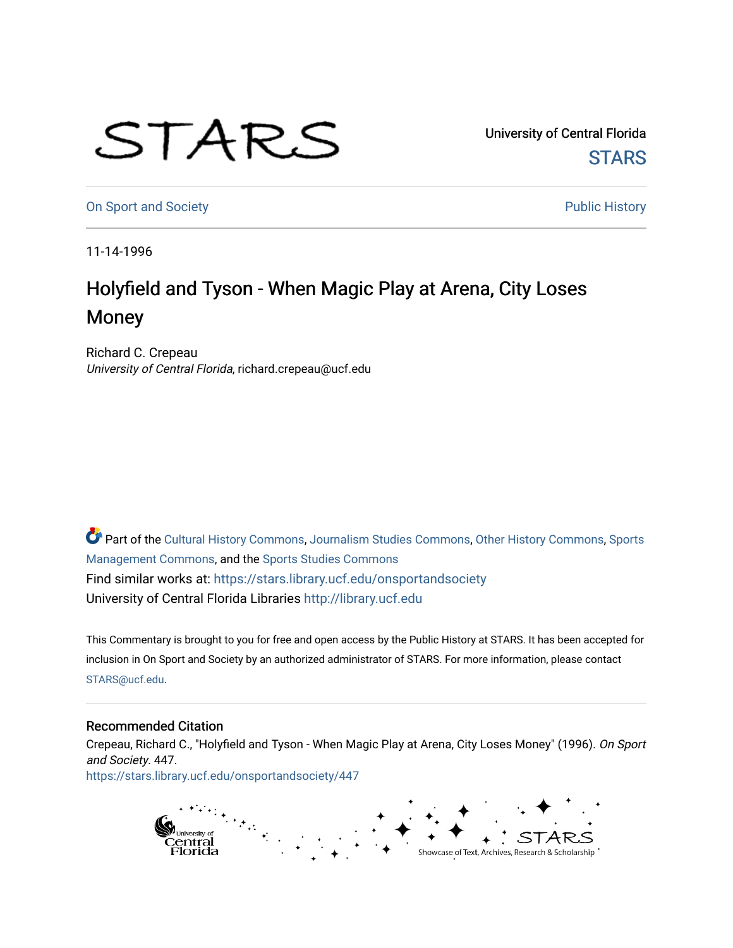## STARS

University of Central Florida **STARS** 

[On Sport and Society](https://stars.library.ucf.edu/onsportandsociety) **Public History Public History** 

11-14-1996

## Holyfield and Tyson - When Magic Play at Arena, City Loses Money

Richard C. Crepeau University of Central Florida, richard.crepeau@ucf.edu

Part of the [Cultural History Commons](http://network.bepress.com/hgg/discipline/496?utm_source=stars.library.ucf.edu%2Fonsportandsociety%2F447&utm_medium=PDF&utm_campaign=PDFCoverPages), [Journalism Studies Commons,](http://network.bepress.com/hgg/discipline/333?utm_source=stars.library.ucf.edu%2Fonsportandsociety%2F447&utm_medium=PDF&utm_campaign=PDFCoverPages) [Other History Commons,](http://network.bepress.com/hgg/discipline/508?utm_source=stars.library.ucf.edu%2Fonsportandsociety%2F447&utm_medium=PDF&utm_campaign=PDFCoverPages) [Sports](http://network.bepress.com/hgg/discipline/1193?utm_source=stars.library.ucf.edu%2Fonsportandsociety%2F447&utm_medium=PDF&utm_campaign=PDFCoverPages) [Management Commons](http://network.bepress.com/hgg/discipline/1193?utm_source=stars.library.ucf.edu%2Fonsportandsociety%2F447&utm_medium=PDF&utm_campaign=PDFCoverPages), and the [Sports Studies Commons](http://network.bepress.com/hgg/discipline/1198?utm_source=stars.library.ucf.edu%2Fonsportandsociety%2F447&utm_medium=PDF&utm_campaign=PDFCoverPages) Find similar works at: <https://stars.library.ucf.edu/onsportandsociety> University of Central Florida Libraries [http://library.ucf.edu](http://library.ucf.edu/) 

This Commentary is brought to you for free and open access by the Public History at STARS. It has been accepted for inclusion in On Sport and Society by an authorized administrator of STARS. For more information, please contact [STARS@ucf.edu](mailto:STARS@ucf.edu).

## Recommended Citation

Crepeau, Richard C., "Holyfield and Tyson - When Magic Play at Arena, City Loses Money" (1996). On Sport and Society. 447.

[https://stars.library.ucf.edu/onsportandsociety/447](https://stars.library.ucf.edu/onsportandsociety/447?utm_source=stars.library.ucf.edu%2Fonsportandsociety%2F447&utm_medium=PDF&utm_campaign=PDFCoverPages)

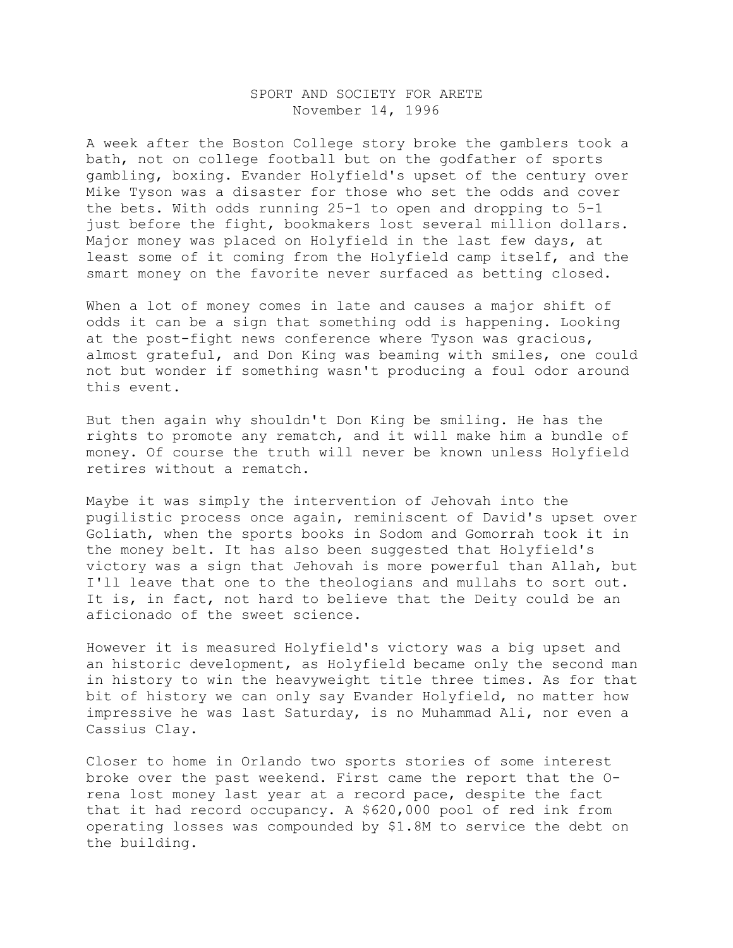## SPORT AND SOCIETY FOR ARETE November 14, 1996

A week after the Boston College story broke the gamblers took a bath, not on college football but on the godfather of sports gambling, boxing. Evander Holyfield's upset of the century over Mike Tyson was a disaster for those who set the odds and cover the bets. With odds running 25-1 to open and dropping to 5-1 just before the fight, bookmakers lost several million dollars. Major money was placed on Holyfield in the last few days, at least some of it coming from the Holyfield camp itself, and the smart money on the favorite never surfaced as betting closed.

When a lot of money comes in late and causes a major shift of odds it can be a sign that something odd is happening. Looking at the post-fight news conference where Tyson was gracious, almost grateful, and Don King was beaming with smiles, one could not but wonder if something wasn't producing a foul odor around this event.

But then again why shouldn't Don King be smiling. He has the rights to promote any rematch, and it will make him a bundle of money. Of course the truth will never be known unless Holyfield retires without a rematch.

Maybe it was simply the intervention of Jehovah into the pugilistic process once again, reminiscent of David's upset over Goliath, when the sports books in Sodom and Gomorrah took it in the money belt. It has also been suggested that Holyfield's victory was a sign that Jehovah is more powerful than Allah, but I'll leave that one to the theologians and mullahs to sort out. It is, in fact, not hard to believe that the Deity could be an aficionado of the sweet science.

However it is measured Holyfield's victory was a big upset and an historic development, as Holyfield became only the second man in history to win the heavyweight title three times. As for that bit of history we can only say Evander Holyfield, no matter how impressive he was last Saturday, is no Muhammad Ali, nor even a Cassius Clay.

Closer to home in Orlando two sports stories of some interest broke over the past weekend. First came the report that the Orena lost money last year at a record pace, despite the fact that it had record occupancy. A \$620,000 pool of red ink from operating losses was compounded by \$1.8M to service the debt on the building.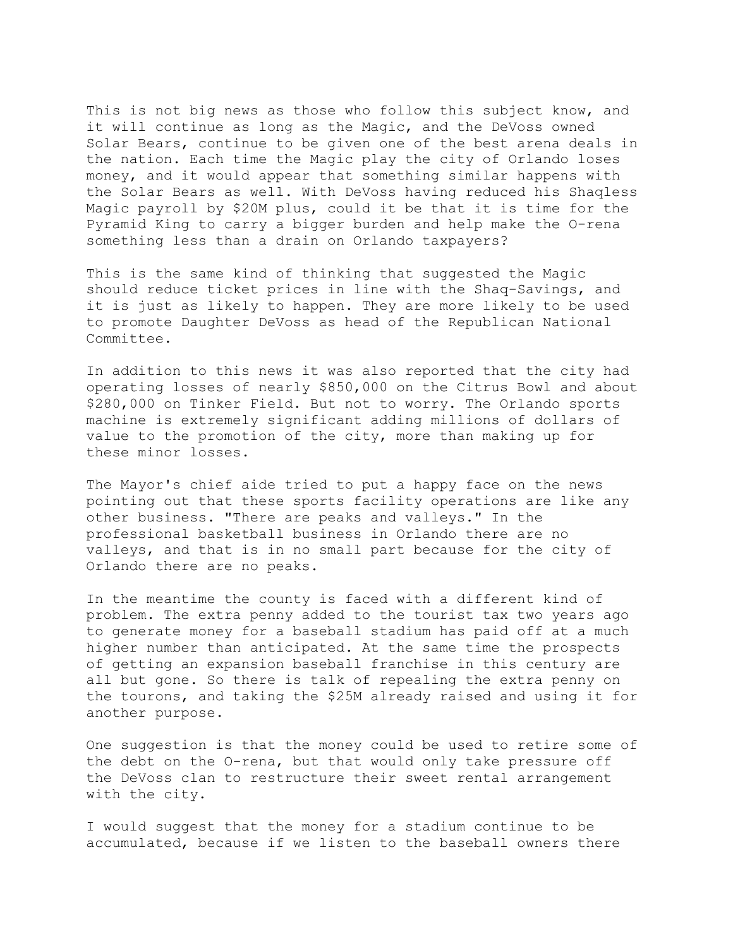This is not big news as those who follow this subject know, and it will continue as long as the Magic, and the DeVoss owned Solar Bears, continue to be given one of the best arena deals in the nation. Each time the Magic play the city of Orlando loses money, and it would appear that something similar happens with the Solar Bears as well. With DeVoss having reduced his Shaqless Magic payroll by \$20M plus, could it be that it is time for the Pyramid King to carry a bigger burden and help make the O-rena something less than a drain on Orlando taxpayers?

This is the same kind of thinking that suggested the Magic should reduce ticket prices in line with the Shaq-Savings, and it is just as likely to happen. They are more likely to be used to promote Daughter DeVoss as head of the Republican National Committee.

In addition to this news it was also reported that the city had operating losses of nearly \$850,000 on the Citrus Bowl and about \$280,000 on Tinker Field. But not to worry. The Orlando sports machine is extremely significant adding millions of dollars of value to the promotion of the city, more than making up for these minor losses.

The Mayor's chief aide tried to put a happy face on the news pointing out that these sports facility operations are like any other business. "There are peaks and valleys." In the professional basketball business in Orlando there are no valleys, and that is in no small part because for the city of Orlando there are no peaks.

In the meantime the county is faced with a different kind of problem. The extra penny added to the tourist tax two years ago to generate money for a baseball stadium has paid off at a much higher number than anticipated. At the same time the prospects of getting an expansion baseball franchise in this century are all but gone. So there is talk of repealing the extra penny on the tourons, and taking the \$25M already raised and using it for another purpose.

One suggestion is that the money could be used to retire some of the debt on the O-rena, but that would only take pressure off the DeVoss clan to restructure their sweet rental arrangement with the city.

I would suggest that the money for a stadium continue to be accumulated, because if we listen to the baseball owners there